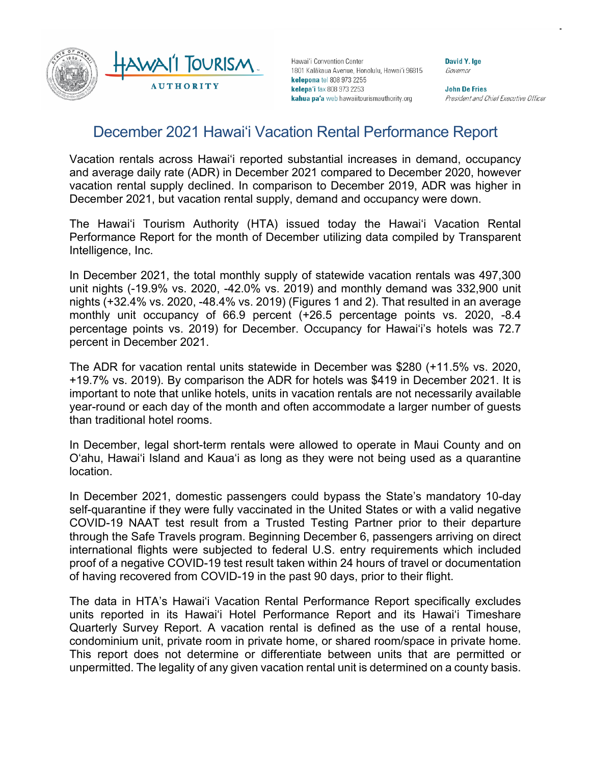

Hawai'i Convention Center 1801 Kalākaua Avenue, Honolulu, Hawai'i 96815 kelepona tel 808 973 2255 kelepa'i fax 808 973 2253 kahua pa'a web hawaiitourismauthority.org

David Y. Ige Governor

**John De Fries** President and Chief Executive Officer

# December 2021 Hawai'i Vacation Rental Performance Report

Vacation rentals across Hawaiʻi reported substantial increases in demand, occupancy and average daily rate (ADR) in December 2021 compared to December 2020, however vacation rental supply declined. In comparison to December 2019, ADR was higher in December 2021, but vacation rental supply, demand and occupancy were down.

The Hawai'i Tourism Authority (HTA) issued today the Hawai'i Vacation Rental Performance Report for the month of December utilizing data compiled by Transparent Intelligence, Inc.

In December 2021, the total monthly supply of statewide vacation rentals was 497,300 unit nights (-19.9% vs. 2020, -42.0% vs. 2019) and monthly demand was 332,900 unit nights (+32.4% vs. 2020, -48.4% vs. 2019) (Figures 1 and 2). That resulted in an average monthly unit occupancy of 66.9 percent (+26.5 percentage points vs. 2020, -8.4 percentage points vs. 2019) for December. Occupancy for Hawai'i's hotels was 72.7 percent in December 2021.

The ADR for vacation rental units statewide in December was \$280 (+11.5% vs. 2020, +19.7% vs. 2019). By comparison the ADR for hotels was \$419 in December 2021. It is important to note that unlike hotels, units in vacation rentals are not necessarily available year-round or each day of the month and often accommodate a larger number of guests than traditional hotel rooms.

In December, legal short-term rentals were allowed to operate in Maui County and on O'ahu, Hawai'i Island and Kaua'i as long as they were not being used as a quarantine location.

In December 2021, domestic passengers could bypass the State's mandatory 10-day self-quarantine if they were fully vaccinated in the United States or with a valid negative COVID-19 NAAT test result from a Trusted Testing Partner prior to their departure through the Safe Travels program. Beginning December 6, passengers arriving on direct international flights were subjected to federal U.S. entry requirements which included proof of a negative COVID-19 test result taken within 24 hours of travel or documentation of having recovered from COVID-19 in the past 90 days, prior to their flight.

The data in HTA's Hawai'i Vacation Rental Performance Report specifically excludes units reported in its Hawai'i Hotel Performance Report and its Hawai'i Timeshare Quarterly Survey Report. A vacation rental is defined as the use of a rental house, condominium unit, private room in private home, or shared room/space in private home. This report does not determine or differentiate between units that are permitted or unpermitted. The legality of any given vacation rental unit is determined on a county basis.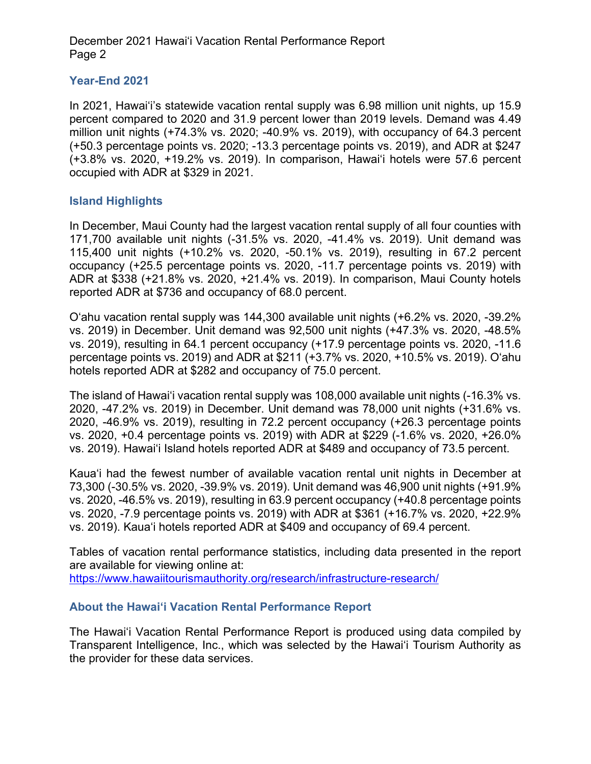December 2021 Hawai'i Vacation Rental Performance Report Page 2

#### **Year-End 2021**

In 2021, Hawai'i's statewide vacation rental supply was 6.98 million unit nights, up 15.9 percent compared to 2020 and 31.9 percent lower than 2019 levels. Demand was 4.49 million unit nights (+74.3% vs. 2020; -40.9% vs. 2019), with occupancy of 64.3 percent (+50.3 percentage points vs. 2020; -13.3 percentage points vs. 2019), and ADR at \$247 (+3.8% vs. 2020, +19.2% vs. 2019). In comparison, Hawai'i hotels were 57.6 percent occupied with ADR at \$329 in 2021.

### **Island Highlights**

In December, Maui County had the largest vacation rental supply of all four counties with 171,700 available unit nights (-31.5% vs. 2020, -41.4% vs. 2019). Unit demand was 115,400 unit nights (+10.2% vs. 2020, -50.1% vs. 2019), resulting in 67.2 percent occupancy (+25.5 percentage points vs. 2020, -11.7 percentage points vs. 2019) with ADR at \$338 (+21.8% vs. 2020, +21.4% vs. 2019). In comparison, Maui County hotels reported ADR at \$736 and occupancy of 68.0 percent.

O'ahu vacation rental supply was 144,300 available unit nights (+6.2% vs. 2020, -39.2% vs. 2019) in December. Unit demand was 92,500 unit nights (+47.3% vs. 2020, -48.5% vs. 2019), resulting in 64.1 percent occupancy (+17.9 percentage points vs. 2020, -11.6 percentage points vs. 2019) and ADR at \$211 (+3.7% vs. 2020, +10.5% vs. 2019). O'ahu hotels reported ADR at \$282 and occupancy of 75.0 percent.

The island of Hawai'i vacation rental supply was 108,000 available unit nights (-16.3% vs. 2020, -47.2% vs. 2019) in December. Unit demand was 78,000 unit nights (+31.6% vs. 2020, -46.9% vs. 2019), resulting in 72.2 percent occupancy (+26.3 percentage points vs. 2020, +0.4 percentage points vs. 2019) with ADR at \$229 (-1.6% vs. 2020, +26.0% vs. 2019). Hawai'i Island hotels reported ADR at \$489 and occupancy of 73.5 percent.

Kaua'i had the fewest number of available vacation rental unit nights in December at 73,300 (-30.5% vs. 2020, -39.9% vs. 2019). Unit demand was 46,900 unit nights (+91.9% vs. 2020, -46.5% vs. 2019), resulting in 63.9 percent occupancy (+40.8 percentage points vs. 2020, -7.9 percentage points vs. 2019) with ADR at \$361 (+16.7% vs. 2020, +22.9% vs. 2019). Kaua'i hotels reported ADR at \$409 and occupancy of 69.4 percent.

Tables of vacation rental performance statistics, including data presented in the report are available for viewing online at: <https://www.hawaiitourismauthority.org/research/infrastructure-research/>

#### **About the Hawai'i Vacation Rental Performance Report**

The Hawai'i Vacation Rental Performance Report is produced using data compiled by Transparent Intelligence, Inc., which was selected by the Hawai'i Tourism Authority as the provider for these data services.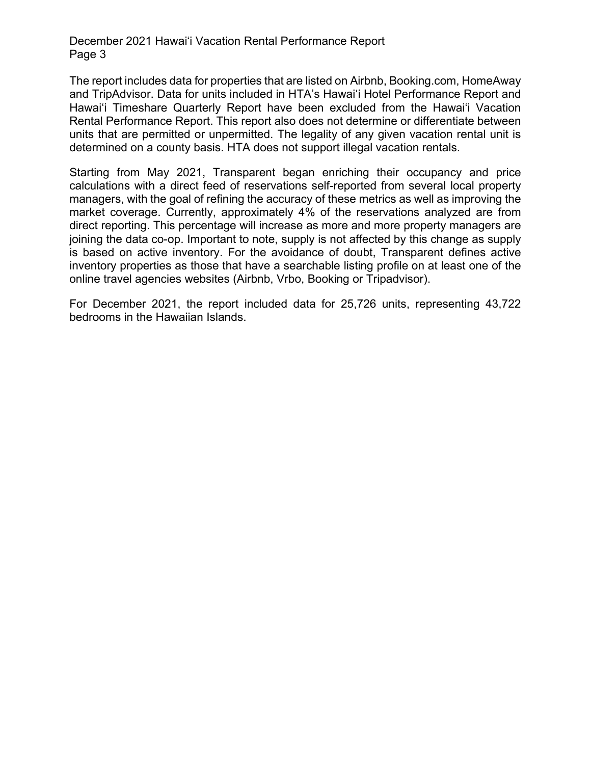December 2021 Hawai'i Vacation Rental Performance Report Page 3

The report includes data for properties that are listed on Airbnb, Booking.com, HomeAway and TripAdvisor. Data for units included in HTA's Hawai'i Hotel Performance Report and Hawai'i Timeshare Quarterly Report have been excluded from the Hawai'i Vacation Rental Performance Report. This report also does not determine or differentiate between units that are permitted or unpermitted. The legality of any given vacation rental unit is determined on a county basis. HTA does not support illegal vacation rentals.

Starting from May 2021, Transparent began enriching their occupancy and price calculations with a direct feed of reservations self-reported from several local property managers, with the goal of refining the accuracy of these metrics as well as improving the market coverage. Currently, approximately 4% of the reservations analyzed are from direct reporting. This percentage will increase as more and more property managers are joining the data co-op. Important to note, supply is not affected by this change as supply is based on active inventory. For the avoidance of doubt, Transparent defines active inventory properties as those that have a searchable listing profile on at least one of the online travel agencies websites (Airbnb, Vrbo, Booking or Tripadvisor).

For December 2021, the report included data for 25,726 units, representing 43,722 bedrooms in the Hawaiian Islands.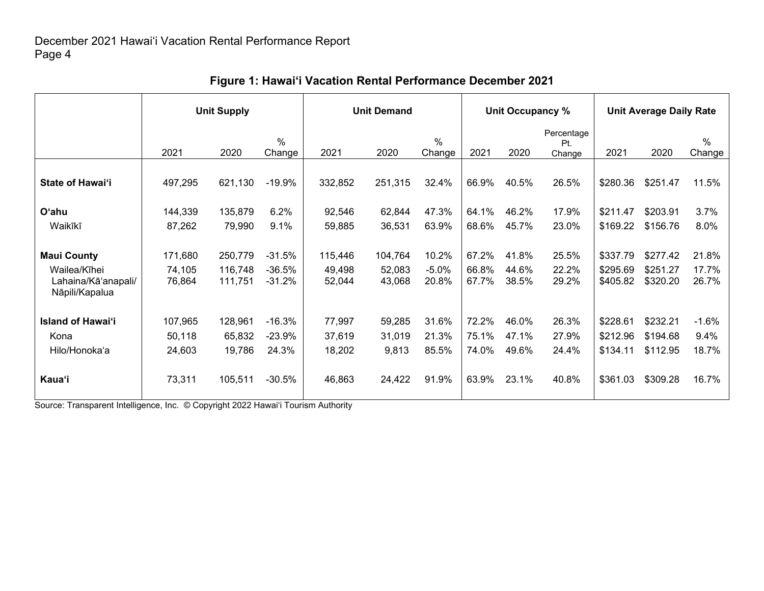|                                                                             | <b>Unit Supply</b>          |                               |                                  |                             | <b>Unit Demand</b>          |                           |                         | Unit Occupancy %        |                             | <b>Unit Average Daily Rate</b>   |                                  |                          |
|-----------------------------------------------------------------------------|-----------------------------|-------------------------------|----------------------------------|-----------------------------|-----------------------------|---------------------------|-------------------------|-------------------------|-----------------------------|----------------------------------|----------------------------------|--------------------------|
|                                                                             | 2021                        | 2020                          | $\%$<br>Change                   | 2021                        | 2020                        | $\%$<br>Change            | 2021                    | 2020                    | Percentage<br>Pt.<br>Change | 2021                             | 2020                             | $\%$<br>Change           |
| <b>State of Hawai'i</b>                                                     | 497,295                     | 621,130                       | $-19.9%$                         | 332,852                     | 251,315                     | 32.4%                     | 66.9%                   | 40.5%                   | 26.5%                       | \$280.36                         | \$251.47                         | 11.5%                    |
| <b>O'ahu</b><br>Waikīkī                                                     | 144,339<br>87,262           | 135,879<br>79,990             | 6.2%<br>9.1%                     | 92,546<br>59,885            | 62,844<br>36,531            | 47.3%<br>63.9%            | 64.1%<br>68.6%          | 46.2%<br>45.7%          | 17.9%<br>23.0%              | \$211.47<br>\$169.22             | \$203.91<br>\$156.76             | 3.7%<br>8.0%             |
| <b>Maui County</b><br>Wailea/Kīhei<br>Lahaina/Kā'anapali/<br>Nāpili/Kapalua | 171,680<br>74,105<br>76,864 | 250,779<br>116,748<br>111,751 | $-31.5%$<br>$-36.5%$<br>$-31.2%$ | 115,446<br>49,498<br>52,044 | 104,764<br>52,083<br>43,068 | 10.2%<br>$-5.0%$<br>20.8% | 67.2%<br>66.8%<br>67.7% | 41.8%<br>44.6%<br>38.5% | 25.5%<br>22.2%<br>29.2%     | \$337.79<br>\$295.69<br>\$405.82 | \$277.42<br>\$251.27<br>\$320.20 | 21.8%<br>17.7%<br>26.7%  |
| <b>Island of Hawai'i</b><br>Kona<br>Hilo/Honoka'a                           | 107,965<br>50,118<br>24,603 | 128,961<br>65,832<br>19,786   | $-16.3%$<br>$-23.9%$<br>24.3%    | 77,997<br>37,619<br>18,202  | 59,285<br>31,019<br>9,813   | 31.6%<br>21.3%<br>85.5%   | 72.2%<br>75.1%<br>74.0% | 46.0%<br>47.1%<br>49.6% | 26.3%<br>27.9%<br>24.4%     | \$228.61<br>\$212.96<br>\$134.11 | \$232.21<br>\$194.68<br>\$112.95 | $-1.6%$<br>9.4%<br>18.7% |
| <b>Kaua'i</b>                                                               | 73,311                      | 105,511                       | $-30.5%$                         | 46,863                      | 24,422                      | 91.9%                     | 63.9%                   | 23.1%                   | 40.8%                       | \$361.03                         | \$309.28                         | 16.7%                    |

# **Figure 1: Hawai'i Vacation Rental Performance December 2021**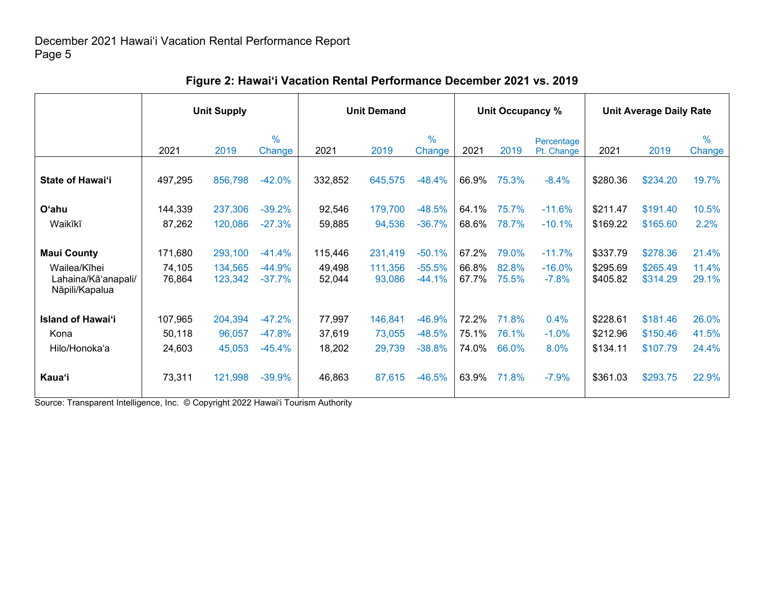|                                                           | <b>Unit Supply</b>          |                               |                                  | <b>Unit Demand</b>          |                              |                                  |                         | Unit Occupancy %        |                                 | <b>Unit Average Daily Rate</b>   |                                  |                         |
|-----------------------------------------------------------|-----------------------------|-------------------------------|----------------------------------|-----------------------------|------------------------------|----------------------------------|-------------------------|-------------------------|---------------------------------|----------------------------------|----------------------------------|-------------------------|
|                                                           | 2021                        | 2019                          | $\frac{0}{0}$<br>Change          | 2021                        | 2019                         | $\frac{0}{0}$<br>Change          | 2021                    | 2019                    | Percentage<br>Pt. Change        | 2021                             | 2019                             | $\frac{0}{0}$<br>Change |
| State of Hawai'i                                          | 497,295                     | 856,798                       | $-42.0%$                         | 332,852                     | 645,575                      | $-48.4%$                         | 66.9%                   | 75.3%                   | $-8.4%$                         | \$280.36                         | \$234.20                         | 19.7%                   |
| O'ahu<br>Waikīkī                                          | 144,339<br>87,262           | 237,306<br>120,086            | $-39.2%$<br>$-27.3%$             | 92,546<br>59,885            | 179,700<br>94,536            | $-48.5%$<br>$-36.7%$             | 64.1%<br>68.6%          | 75.7%<br>78.7%          | $-11.6%$<br>$-10.1%$            | \$211.47<br>\$169.22             | \$191.40<br>\$165.60             | 10.5%<br>2.2%           |
| <b>Maui County</b><br>Wailea/Kīhei<br>Lahaina/Kā'anapali/ | 171,680<br>74,105<br>76,864 | 293,100<br>134,565<br>123,342 | $-41.4%$<br>$-44.9%$<br>$-37.7%$ | 115,446<br>49,498<br>52,044 | 231,419<br>111,356<br>93,086 | $-50.1%$<br>$-55.5%$<br>$-44.1%$ | 67.2%<br>66.8%<br>67.7% | 79.0%<br>82.8%<br>75.5% | $-11.7%$<br>$-16.0%$<br>$-7.8%$ | \$337.79<br>\$295.69<br>\$405.82 | \$278.36<br>\$265.49<br>\$314.29 | 21.4%<br>11.4%<br>29.1% |
| Nāpili/Kapalua<br><b>Island of Hawai'i</b>                | 107,965                     | 204,394                       | $-47.2%$                         | 77,997                      | 146,841                      | $-46.9%$                         | 72.2%                   | 71.8%                   | 0.4%                            | \$228.61                         | \$181.46                         | 26.0%                   |
| Kona<br>Hilo/Honoka'a                                     | 50,118<br>24,603            | 96,057<br>45,053              | $-47.8%$<br>$-45.4%$             | 37,619<br>18,202            | 73,055<br>29,739             | $-48.5%$<br>$-38.8%$             | 75.1%<br>74.0%          | 76.1%<br>66.0%          | $-1.0%$<br>8.0%                 | \$212.96<br>\$134.11             | \$150.46<br>\$107.79             | 41.5%<br>24.4%          |
| Kaua'i                                                    | 73,311                      | 121,998                       | $-39.9%$                         | 46,863                      | 87,615                       | $-46.5%$                         | 63.9%                   | 71.8%                   | $-7.9%$                         | \$361.03                         | \$293.75                         | 22.9%                   |

### **Figure 2: Hawai'i Vacation Rental Performance December 2021 vs. 2019**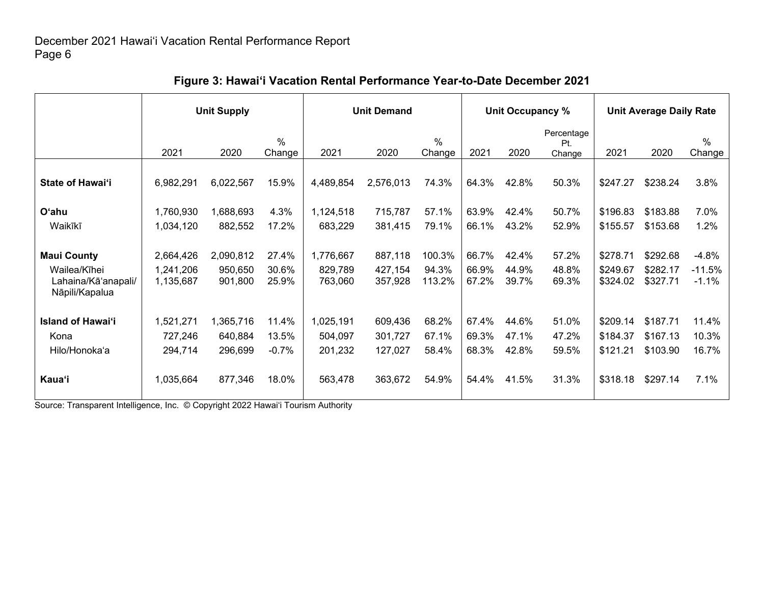|                                                                             | <b>Unit Supply</b>                  |                                 |                           |                                 | <b>Unit Demand</b>            |                           |                         | Unit Occupancy %        |                             | <b>Unit Average Daily Rate</b>   |                                  |                                |
|-----------------------------------------------------------------------------|-------------------------------------|---------------------------------|---------------------------|---------------------------------|-------------------------------|---------------------------|-------------------------|-------------------------|-----------------------------|----------------------------------|----------------------------------|--------------------------------|
|                                                                             | 2021                                | 2020                            | $\%$<br>Change            | 2021                            | 2020                          | $\%$<br>Change            | 2021                    | 2020                    | Percentage<br>Pt.<br>Change | 2021                             | 2020                             | $\%$<br>Change                 |
| State of Hawai'i                                                            | 6,982,291                           | 6,022,567                       | 15.9%                     | 4,489,854                       | 2,576,013                     | 74.3%                     | 64.3%                   | 42.8%                   | 50.3%                       | \$247.27                         | \$238.24                         | 3.8%                           |
| O'ahu<br>Waikīkī                                                            | 1,760,930<br>1,034,120              | 1,688,693<br>882,552            | 4.3%<br>17.2%             | 1,124,518<br>683,229            | 715,787<br>381,415            | 57.1%<br>79.1%            | 63.9%<br>66.1%          | 42.4%<br>43.2%          | 50.7%<br>52.9%              | \$196.83<br>\$155.57             | \$183.88<br>\$153.68             | 7.0%<br>1.2%                   |
| <b>Maui County</b><br>Wailea/Kīhei<br>Lahaina/Kā'anapali/<br>Nāpili/Kapalua | 2,664,426<br>1,241,206<br>1,135,687 | 2,090,812<br>950,650<br>901,800 | 27.4%<br>30.6%<br>25.9%   | 1,776,667<br>829,789<br>763,060 | 887,118<br>427,154<br>357,928 | 100.3%<br>94.3%<br>113.2% | 66.7%<br>66.9%<br>67.2% | 42.4%<br>44.9%<br>39.7% | 57.2%<br>48.8%<br>69.3%     | \$278.71<br>\$249.67<br>\$324.02 | \$292.68<br>\$282.17<br>\$327.71 | $-4.8%$<br>$-11.5%$<br>$-1.1%$ |
| <b>Island of Hawai'i</b><br>Kona<br>Hilo/Honoka'a                           | 1,521,271<br>727,246<br>294,714     | 1,365,716<br>640,884<br>296,699 | 11.4%<br>13.5%<br>$-0.7%$ | 1,025,191<br>504,097<br>201,232 | 609,436<br>301,727<br>127,027 | 68.2%<br>67.1%<br>58.4%   | 67.4%<br>69.3%<br>68.3% | 44.6%<br>47.1%<br>42.8% | 51.0%<br>47.2%<br>59.5%     | \$209.14<br>\$184.37<br>\$121.21 | \$187.71<br>\$167.13<br>\$103.90 | 11.4%<br>10.3%<br>16.7%        |
| <b>Kaua'i</b>                                                               | 1,035,664                           | 877,346                         | 18.0%                     | 563,478                         | 363,672                       | 54.9%                     | 54.4%                   | 41.5%                   | 31.3%                       | \$318.18                         | \$297.14                         | 7.1%                           |

### **Figure 3: Hawai'i Vacation Rental Performance Year-to-Date December 2021**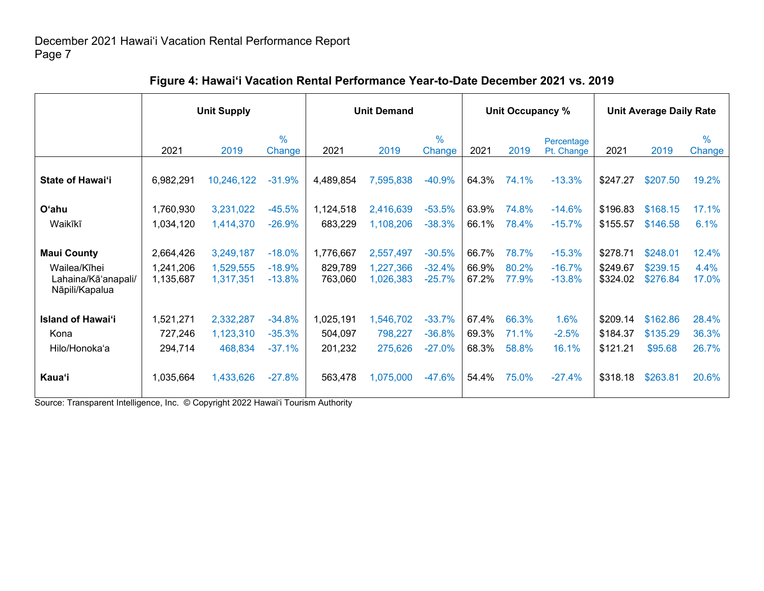|                                                       | <b>Unit Supply</b>     |                        |                         | <b>Unit Demand</b>   |                        |                         |                | Unit Occupancy % |                          | <b>Unit Average Daily Rate</b> |                      |                         |
|-------------------------------------------------------|------------------------|------------------------|-------------------------|----------------------|------------------------|-------------------------|----------------|------------------|--------------------------|--------------------------------|----------------------|-------------------------|
|                                                       | 2021                   | 2019                   | $\frac{0}{0}$<br>Change | 2021                 | 2019                   | $\frac{0}{0}$<br>Change | 2021           | 2019             | Percentage<br>Pt. Change | 2021                           | 2019                 | $\frac{0}{0}$<br>Change |
| State of Hawai'i                                      | 6,982,291              | 10,246,122             | $-31.9%$                | 4,489,854            | 7,595,838              | $-40.9%$                | 64.3%          | 74.1%            | $-13.3%$                 | \$247.27                       | \$207.50             | 19.2%                   |
| O'ahu<br>Waikīkī                                      | 1,760,930<br>1,034,120 | 3,231,022<br>1,414,370 | $-45.5%$<br>$-26.9%$    | 1,124,518<br>683,229 | 2,416,639<br>1,108,206 | $-53.5%$<br>$-38.3%$    | 63.9%<br>66.1% | 74.8%<br>78.4%   | $-14.6%$<br>$-15.7%$     | \$196.83<br>\$155.57           | \$168.15<br>\$146.58 | 17.1%<br>6.1%           |
| <b>Maui County</b>                                    | 2,664,426              | 3,249,187              | $-18.0%$                | 1,776,667            | 2,557,497              | $-30.5%$                | 66.7%          | 78.7%            | $-15.3%$                 | \$278.71                       | \$248.01             | 12.4%                   |
| Wailea/Kīhei<br>Lahaina/Kā'anapali/<br>Nāpili/Kapalua | 1,241,206<br>1,135,687 | 1,529,555<br>1,317,351 | $-18.9%$<br>$-13.8%$    | 829,789<br>763,060   | 1,227,366<br>1,026,383 | $-32.4%$<br>$-25.7%$    | 66.9%<br>67.2% | 80.2%<br>77.9%   | $-16.7%$<br>$-13.8%$     | \$249.67<br>\$324.02           | \$239.15<br>\$276.84 | 4.4%<br>17.0%           |
| <b>Island of Hawai'i</b>                              | 1,521,271              | 2,332,287              | $-34.8%$                | 1,025,191            | 1,546,702              | $-33.7%$                | 67.4%          | 66.3%            | 1.6%                     | \$209.14                       | \$162.86             | 28.4%                   |
| Kona<br>Hilo/Honoka'a                                 | 727,246<br>294,714     | 1,123,310<br>468,834   | $-35.3%$<br>$-37.1%$    | 504,097<br>201,232   | 798,227<br>275,626     | $-36.8%$<br>$-27.0%$    | 69.3%<br>68.3% | 71.1%<br>58.8%   | $-2.5%$<br>16.1%         | \$184.37<br>\$121.21           | \$135.29<br>\$95.68  | 36.3%<br>26.7%          |
| <b>Kaua</b> 'i                                        | 1,035,664              | 1,433,626              | $-27.8%$                | 563,478              | 1,075,000              | $-47.6%$                | 54.4%          | 75.0%            | $-27.4%$                 | \$318.18                       | \$263.81             | 20.6%                   |

# **Figure 4: Hawai'i Vacation Rental Performance Year-to-Date December 2021 vs. 2019**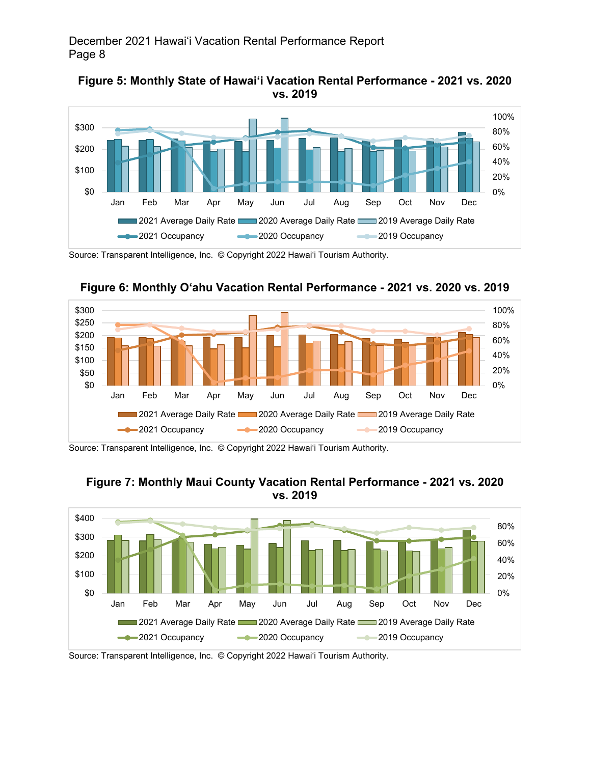





**Figure 6: Monthly O'ahu Vacation Rental Performance - 2021 vs. 2020 vs. 2019**

Source: Transparent Intelligence, Inc. © Copyright 2022 Hawai'i Tourism Authority.





Source: Transparent Intelligence, Inc. © Copyright 2022 Hawai'i Tourism Authority.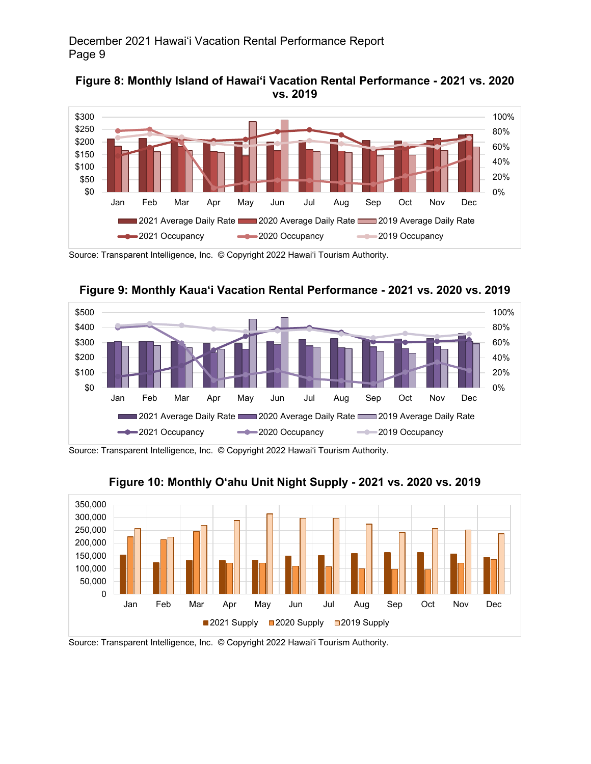



Source: Transparent Intelligence, Inc. © Copyright 2022 Hawai'i Tourism Authority.





Source: Transparent Intelligence, Inc. © Copyright 2022 Hawai'i Tourism Authority.



## **Figure 10: Monthly O'ahu Unit Night Supply - 2021 vs. 2020 vs. 2019**